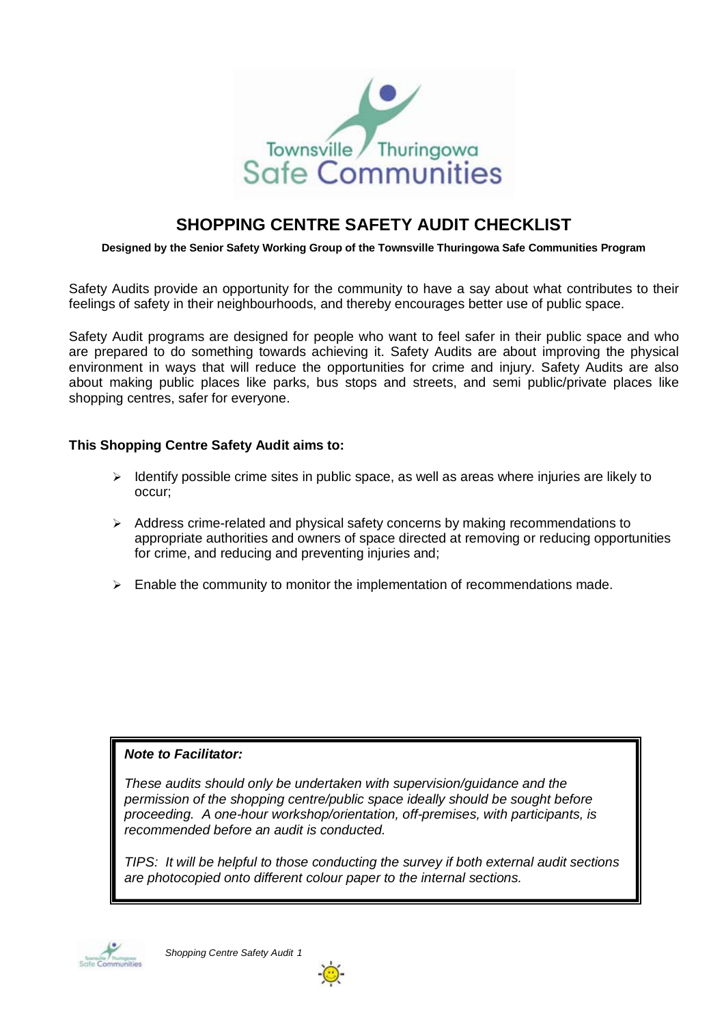

## **SHOPPING CENTRE SAFETY AUDIT CHECKLIST**

#### **Designed by the Senior Safety Working Group of the Townsville Thuringowa Safe Communities Program**

Safety Audits provide an opportunity for the community to have a say about what contributes to their feelings of safety in their neighbourhoods, and thereby encourages better use of public space.

Safety Audit programs are designed for people who want to feel safer in their public space and who are prepared to do something towards achieving it. Safety Audits are about improving the physical environment in ways that will reduce the opportunities for crime and injury. Safety Audits are also about making public places like parks, bus stops and streets, and semi public/private places like shopping centres, safer for everyone.

#### **This Shopping Centre Safety Audit aims to:**

- $\geq$  Identify possible crime sites in public space, as well as areas where injuries are likely to occur;
- $\triangleright$  Address crime-related and physical safety concerns by making recommendations to appropriate authorities and owners of space directed at removing or reducing opportunities for crime, and reducing and preventing injuries and;
- $\triangleright$  Enable the community to monitor the implementation of recommendations made.

#### **Note to Facilitator:**

These audits should only be undertaken with supervision/guidance and the permission of the shopping centre/public space ideally should be sought before proceeding. A one-hour workshop/orientation, off-premises, with participants, is recommended before an audit is conducted.

TIPS: It will be helpful to those conducting the survey if both external audit sections are photocopied onto different colour paper to the internal sections.



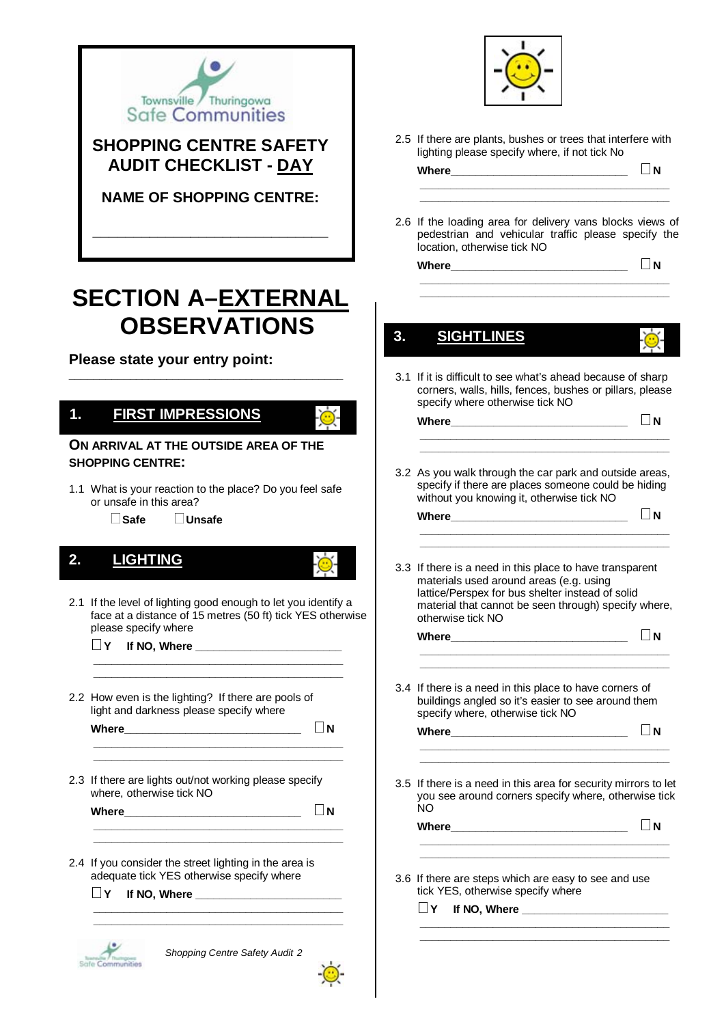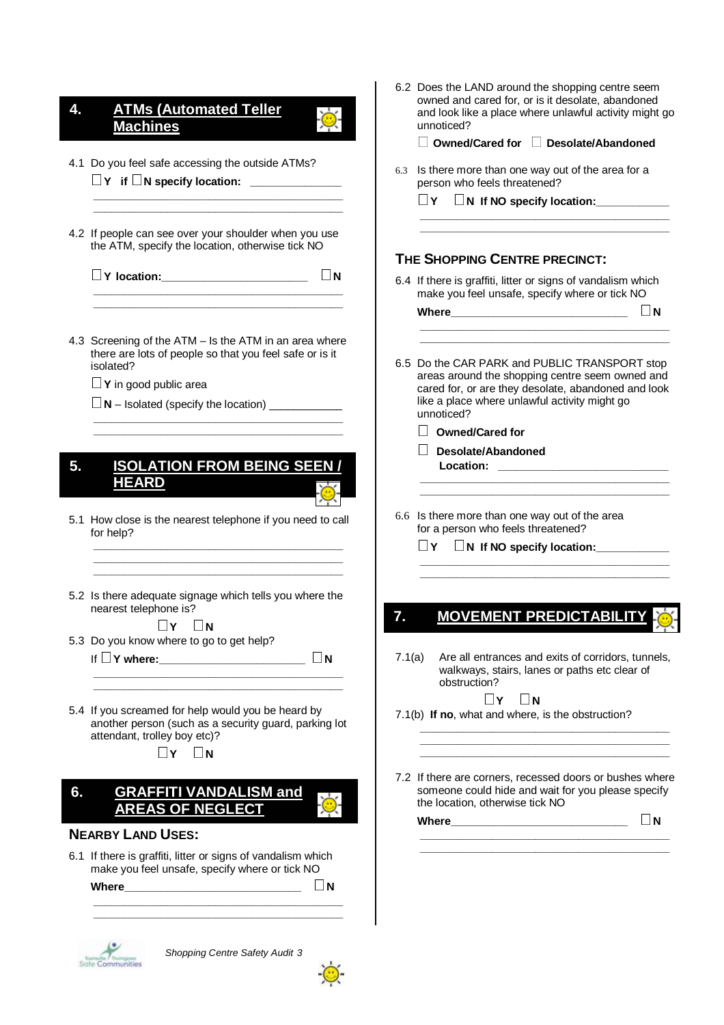| 4. | <b>ATMs (Automated Teller</b><br><b>Machines</b>                                                                                                                                                                                                 | 6.2 Does the LAND around the shopping centre seem<br>owned and cared for, or is it desolate, abandoned<br>and look like a place where unlawful activity might go<br>unnoticed?              |
|----|--------------------------------------------------------------------------------------------------------------------------------------------------------------------------------------------------------------------------------------------------|---------------------------------------------------------------------------------------------------------------------------------------------------------------------------------------------|
|    |                                                                                                                                                                                                                                                  | Owned/Cared for II<br><b>Desolate/Abandoned</b>                                                                                                                                             |
|    | 4.1 Do you feel safe accessing the outside ATMs?                                                                                                                                                                                                 | 6.3 Is there more than one way out of the area for a<br>person who feels threatened?                                                                                                        |
|    |                                                                                                                                                                                                                                                  | N If NO specify location:<br>$\Box$ Y $\Box$                                                                                                                                                |
|    | 4.2 If people can see over your shoulder when you use<br>the ATM, specify the location, otherwise tick NO                                                                                                                                        | THE SHOPPING CENTRE PRECINCT:                                                                                                                                                               |
|    | $\Box$ N<br>V location: 1999                                                                                                                                                                                                                     | 6.4 If there is graffiti, litter or signs of vandalism which                                                                                                                                |
|    |                                                                                                                                                                                                                                                  | make you feel unsafe, specify where or tick NO<br>ШN                                                                                                                                        |
|    | 4.3 Screening of the ATM - Is the ATM in an area where<br>there are lots of people so that you feel safe or is it                                                                                                                                |                                                                                                                                                                                             |
|    | isolated?                                                                                                                                                                                                                                        | 6.5 Do the CAR PARK and PUBLIC TRANSPORT stop<br>areas around the shopping centre seem owned and                                                                                            |
|    | $\Box$ Y in good public area                                                                                                                                                                                                                     | cared for, or are they desolate, abandoned and look                                                                                                                                         |
|    | $\Box$ N – Isolated (specify the location)                                                                                                                                                                                                       | like a place where unlawful activity might go<br>unnoticed?                                                                                                                                 |
|    |                                                                                                                                                                                                                                                  | <b>Owned/Cared for</b>                                                                                                                                                                      |
| 5. | <b>ISOLATION FROM BEING SEEN /</b><br><b>HEARD</b>                                                                                                                                                                                               | <b>Desolate/Abandoned</b>                                                                                                                                                                   |
|    | 5.1 How close is the nearest telephone if you need to call<br>for help?                                                                                                                                                                          | 6.6 Is there more than one way out of the area<br>for a person who feels threatened?<br>N If NO specify location:<br>LIY.<br><u> 1950 - Johann John Harrison, martin amerikan bahasa da</u> |
|    | 5.2 Is there adequate signage which tells you where the<br>nearest telephone is?                                                                                                                                                                 | MOVEMENT PREDICTABILITY<br>7.                                                                                                                                                               |
|    | $\Box$ $\Upsilon$ $\Box$ $N$<br>5.3 Do you know where to go to get help?                                                                                                                                                                         |                                                                                                                                                                                             |
|    | $\Box$ N                                                                                                                                                                                                                                         | 7.1(a)<br>Are all entrances and exits of corridors, tunnels,<br>walkways, stairs, lanes or paths etc clear of<br>obstruction?                                                               |
|    | 5.4 If you screamed for help would you be heard by<br>another person (such as a security guard, parking lot<br>attendant, trolley boy etc)?<br>$\Box$ Y $\Box$ N                                                                                 | $\Box$ Y<br>$\Box$ N<br>7.1(b) If no, what and where, is the obstruction?                                                                                                                   |
|    |                                                                                                                                                                                                                                                  | 7.2 If there are corners, recessed doors or bushes where                                                                                                                                    |
| 6. | <b>GRAFFITI VANDALISM and<br/>AREAS OF NEGLECT</b>                                                                                                                                                                                               | someone could hide and wait for you please specify<br>the location, otherwise tick NO                                                                                                       |
|    | <b>NEARBY LAND USES:</b>                                                                                                                                                                                                                         | $\Box$ N                                                                                                                                                                                    |
|    | 6.1 If there is graffiti, litter or signs of vandalism which                                                                                                                                                                                     |                                                                                                                                                                                             |
|    | make you feel unsafe, specify where or tick NO                                                                                                                                                                                                   |                                                                                                                                                                                             |
|    | $\Box$ N<br>Where <u>with the contract of the contract of the contract of the contract of the contract of the contract of the contract of the contract of the contract of the contract of the contract of the contract of the contract of th</u> |                                                                                                                                                                                             |



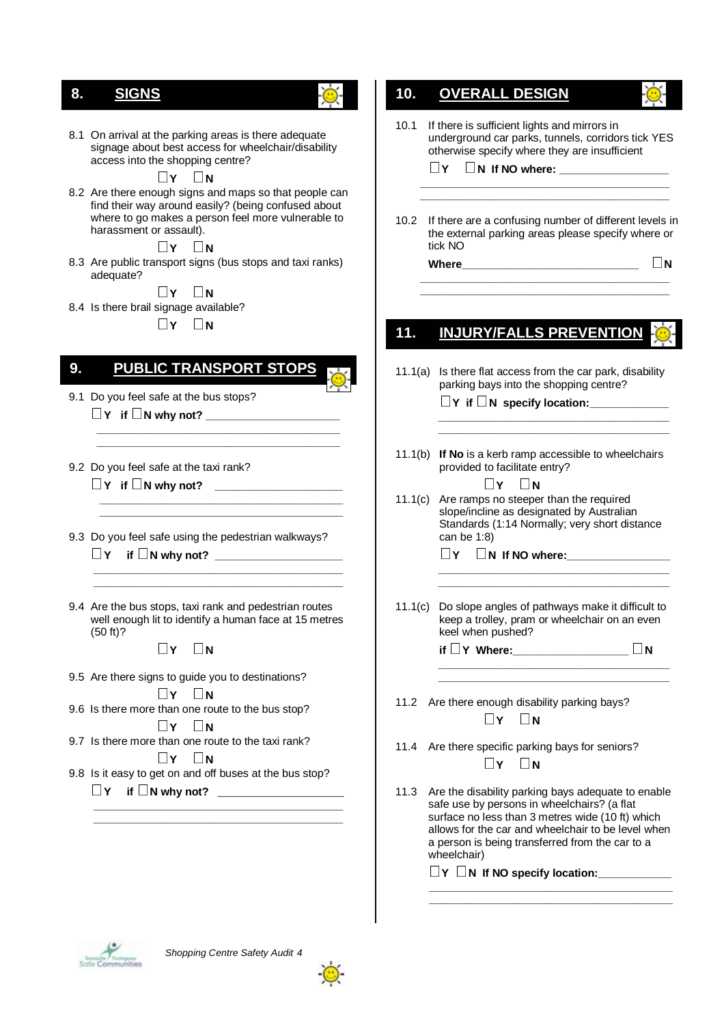## **7. SIGNS 8. SIGNS**

8.1 On arrival at the parking areas is there adequate signage about best access for wheelchair/disability access into the shopping centre?

**N E** I **Y N**<br>8.2 Are there enough signs and maps so that people can find their way around easily? (being confused about where to go makes a person feel more vulnerable to harassment or assault).

**N EXECTS IV** DN<br>8.3 Are public transport signs (bus stops and taxi ranks) adequate?

**N**∴8.4 Is there brail signage available?

 $\Box$ **Y**  $\Box$ **N** 

## **8. PUBLIC TRANSPORT STOPS 9. PUBLIC TRANSPORT STOPS**

- 9.1 Do you feel safe at the bus stops? **Y if N why not? \_\_\_\_\_\_\_\_\_\_\_\_\_\_\_\_\_\_\_\_\_\_**
- 9.2 Do you feel safe at the taxi rank? **Y if N why not? \_\_\_\_\_\_\_\_\_\_\_\_\_\_\_\_\_\_\_\_\_**
- 9.3 Do you feel safe using the pedestrian walkways? **Y if N why not? \_\_\_\_\_\_\_\_\_\_\_\_\_\_\_\_\_\_\_\_\_**

 **\_\_\_\_\_\_\_\_\_\_\_\_\_\_\_\_\_\_\_\_\_\_\_\_\_\_\_\_\_\_\_\_\_\_\_\_\_\_\_\_ \_\_\_\_\_\_\_\_\_\_\_\_\_\_\_\_\_\_\_\_\_\_\_\_\_\_\_\_\_\_\_\_\_\_\_\_\_\_\_\_** 

 **\_\_\_\_\_\_\_\_\_\_\_\_\_\_\_\_\_\_\_\_\_\_\_\_\_\_\_\_\_\_\_\_\_\_\_\_\_\_\_\_ \_\_\_\_\_\_\_\_\_\_\_\_\_\_\_\_\_\_\_\_\_\_\_\_\_\_\_\_\_\_\_\_\_\_\_\_\_\_\_\_** 

9.4 Are the bus stops, taxi rank and pedestrian routes well enough lit to identify a human face at 15 metres (50 ft)?

 **\_\_\_\_\_\_\_\_\_\_\_\_\_\_\_\_\_\_\_\_\_\_\_\_\_\_\_\_\_\_\_\_\_\_\_\_\_\_\_\_\_ \_\_\_\_\_\_\_\_\_\_\_\_\_\_\_\_\_\_\_\_\_\_\_\_\_\_\_\_\_\_\_\_\_\_\_\_\_\_\_\_\_** 

 $\Box$ **Y**  $\Box$ **N** 

- 9.5 Are there signs to guide you to destinations?
- **N**∴9.6 Is there more than one route to the bus stop?
- **N**∴9.7 Is there more than one route to the taxi rank?
- **N**9.8 Is it easy to get on and off buses at the bus stop? **Y if <sup>N</sup> why not?** \_\_\_\_\_\_\_\_\_\_\_\_\_\_\_\_\_\_\_\_\_\_\_

 **\_\_\_\_\_\_\_\_\_\_\_\_\_\_\_\_\_\_\_\_\_\_\_\_\_\_\_\_\_\_\_\_\_\_\_\_\_\_\_\_\_ \_\_\_\_\_\_\_\_\_\_\_\_\_\_\_\_\_\_\_\_\_\_\_\_\_\_\_\_\_\_\_\_\_\_\_\_\_\_\_\_\_** 

# **9. OVERALL DESIGN 10. OVERALL DESIGN**

10.1 If there is sufficient lights and mirrors in underground car parks, tunnels, corridors tick YES otherwise specify where they are insufficient  $\Box$  **Y**  $\Box$  **N** If NO where:  **\_\_\_\_\_\_\_\_\_\_\_\_\_\_\_\_\_\_\_\_\_\_\_\_\_\_\_\_\_\_\_\_\_\_\_\_\_\_\_\_\_ \_\_\_\_\_\_\_\_\_\_\_\_\_\_\_\_\_\_\_\_\_\_\_\_\_\_\_\_\_\_\_\_\_\_\_\_\_\_\_\_\_**  10.2 If there are a confusing number of different levels in the external parking areas please specify where or tick NO **Where\_\_\_\_\_\_\_\_\_\_\_\_\_\_\_\_\_\_\_\_\_\_\_\_\_\_\_\_\_ <sup>N</sup> \_\_\_\_\_\_\_\_\_\_\_\_\_\_\_\_\_\_\_\_\_\_\_\_\_\_\_\_\_\_\_\_\_\_\_\_\_\_\_\_\_ \_\_\_\_\_\_\_\_\_\_\_\_\_\_\_\_\_\_\_\_\_\_\_\_\_\_\_\_\_\_\_\_\_\_\_\_\_\_\_\_\_ 10. INJURY/FALLS PREVENTION 11. INJURY/FALLS PREVENTION**11.1(a) Is there flat access from the car park, disability parking bays into the shopping centre?  **Y if N specify location:\_\_\_\_\_\_\_\_\_\_\_\_\_ \_\_\_\_\_\_\_\_\_\_\_\_\_\_\_\_\_\_\_\_\_\_\_\_\_\_\_\_\_\_\_\_\_\_\_\_\_\_ \_\_\_\_\_\_\_\_\_\_\_\_\_\_\_\_\_\_\_\_\_\_\_\_\_\_\_\_\_\_\_\_\_\_\_\_\_\_**  11.1(b) **If No** is a kerb ramp accessible to wheelchairs provided to facilitate entry? **FIX** DN<br>11.1(c) Are ramps no steeper than the required slope/incline as designated by Australian Standards (1:14 Normally; very short distance can be 1:8)  $\Box$  **Y**  $\Box$  **N** If NO where:  **\_\_\_\_\_\_\_\_\_\_\_\_\_\_\_\_\_\_\_\_\_\_\_\_\_\_\_\_\_\_\_\_\_\_\_\_\_\_ \_\_\_\_\_\_\_\_\_\_\_\_\_\_\_\_\_\_\_\_\_\_\_\_\_\_\_\_\_\_\_\_\_\_\_\_\_\_**  11.1(c) Do slope angles of pathways make it difficult to keep a trolley, pram or wheelchair on an even keel when pushed?  **if Y Where:\_\_\_\_\_\_\_\_\_\_\_\_\_\_\_\_\_\_\_ <sup>N</sup> \_\_\_\_\_\_\_\_\_\_\_\_\_\_\_\_\_\_\_\_\_\_\_\_\_\_\_\_\_\_\_\_\_\_\_\_\_\_ \_\_\_\_\_\_\_\_\_\_\_\_\_\_\_\_\_\_\_\_\_\_\_\_\_\_\_\_\_\_\_\_\_\_\_\_\_\_**  11.2 Are there enough disability parking bays?  $\Box$ **Y**  $\Box$ **N** 11.4 Are there specific parking bays for seniors?  $\Box$ **Y**  $\Box$ **N** 11.3 Are the disability parking bays adequate to enable safe use by persons in wheelchairs? (a flat surface no less than 3 metres wide (10 ft) which allows for the car and wheelchair to be level when a person is being transferred from the car to a wheelchair)  $\Box$ **Y**  $\Box$ **N** If NO specify location:  **\_\_\_\_\_\_\_\_\_\_\_\_\_\_\_\_\_\_\_\_\_\_\_\_\_\_\_\_\_\_\_\_\_\_\_\_\_\_\_\_ \_\_\_\_\_\_\_\_\_\_\_\_\_\_\_\_\_\_\_\_\_\_\_\_\_\_\_\_\_\_\_\_\_\_\_\_\_\_\_\_** 



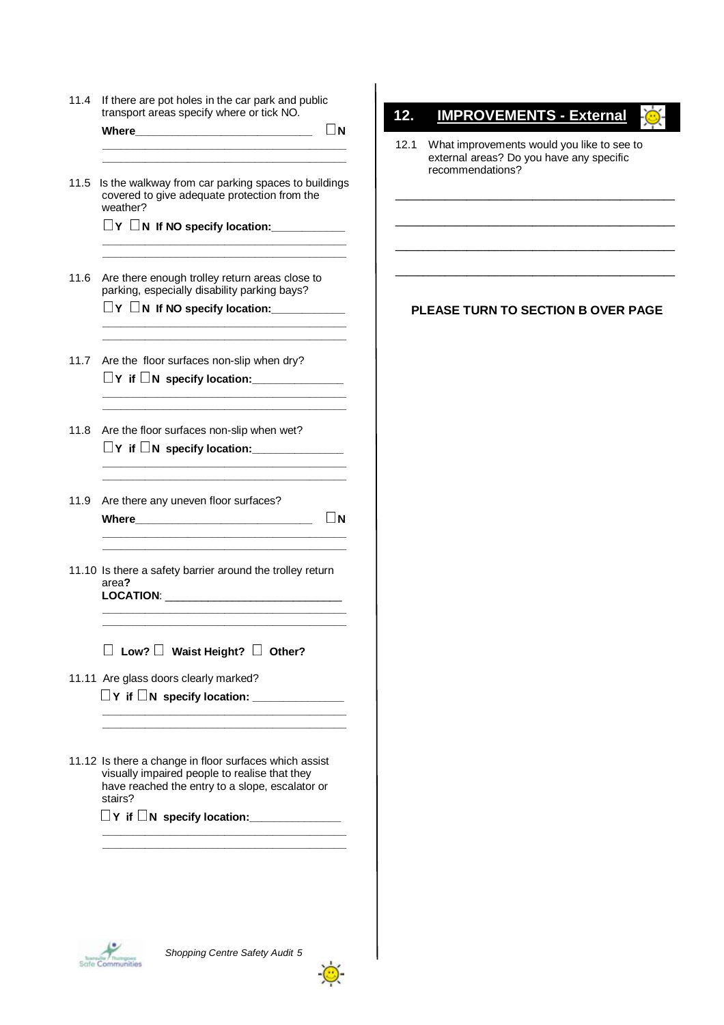11.4 If there are pot holes in the car park and public transport areas specify where or tick NO.

 **Where\_\_\_\_\_\_\_\_\_\_\_\_\_\_\_\_\_\_\_\_\_\_\_\_\_\_\_\_\_ <sup>N</sup>**

11.5 Is the walkway from car parking spaces to buildings covered to give adequate protection from the weather?

 **\_\_\_\_\_\_\_\_\_\_\_\_\_\_\_\_\_\_\_\_\_\_\_\_\_\_\_\_\_\_\_\_\_\_\_\_\_\_\_\_ \_\_\_\_\_\_\_\_\_\_\_\_\_\_\_\_\_\_\_\_\_\_\_\_\_\_\_\_\_\_\_\_\_\_\_\_\_\_\_\_** 

 **\_\_\_\_\_\_\_\_\_\_\_\_\_\_\_\_\_\_\_\_\_\_\_\_\_\_\_\_\_\_\_\_\_\_\_\_\_\_\_\_ \_\_\_\_\_\_\_\_\_\_\_\_\_\_\_\_\_\_\_\_\_\_\_\_\_\_\_\_\_\_\_\_\_\_\_\_\_\_\_\_** 

 **\_\_\_\_\_\_\_\_\_\_\_\_\_\_\_\_\_\_\_\_\_\_\_\_\_\_\_\_\_\_\_\_\_\_\_\_\_\_\_\_ \_\_\_\_\_\_\_\_\_\_\_\_\_\_\_\_\_\_\_\_\_\_\_\_\_\_\_\_\_\_\_\_\_\_\_\_\_\_\_\_** 

 **\_\_\_\_\_\_\_\_\_\_\_\_\_\_\_\_\_\_\_\_\_\_\_\_\_\_\_\_\_\_\_\_\_\_\_\_\_\_\_\_** 

 **\_\_\_\_\_\_\_\_\_\_\_\_\_\_\_\_\_\_\_\_\_\_\_\_\_\_\_\_\_\_\_\_\_\_\_\_\_\_\_\_ \_\_\_\_\_\_\_\_\_\_\_\_\_\_\_\_\_\_\_\_\_\_\_\_\_\_\_\_\_\_\_\_\_\_\_\_\_\_\_\_** 

**<sup>Y</sup>N If NO specify location:\_\_\_\_\_\_\_\_\_\_\_\_**

- 11.6 Are there enough trolley return areas close to parking, especially disability parking bays?
	- **<sup>Y</sup>N If NO specify location:\_\_\_\_\_\_\_\_\_\_\_\_**
- 11.7 Are the floor surfaces non-slip when dry? **Y if N specify location:\_\_\_\_\_\_\_\_\_\_\_\_\_\_\_**
- 11.8 Are the floor surfaces non-slip when wet?  $\Box$  Y if  $\Box$  N specify location:
- 11.9 Are there any uneven floor surfaces? **Where**  $\Box$  **N \_\_\_\_\_\_\_\_\_\_\_\_\_\_\_\_\_\_\_\_\_\_\_\_\_\_\_\_\_\_\_\_\_\_\_\_\_\_\_\_**
- 11.10 Is there a safety barrier around the trolley return area**?**  LOCATION:

 **\_\_\_\_\_\_\_\_\_\_\_\_\_\_\_\_\_\_\_\_\_\_\_\_\_\_\_\_\_\_\_\_\_\_\_\_\_\_\_\_** 

 **Low? Waist Height? Other?** 

 **\_\_\_\_\_\_\_\_\_\_\_\_\_\_\_\_\_\_\_\_\_\_\_\_\_\_\_\_\_\_\_\_\_\_\_\_\_\_\_\_ \_\_\_\_\_\_\_\_\_\_\_\_\_\_\_\_\_\_\_\_\_\_\_\_\_\_\_\_\_\_\_\_\_\_\_\_\_\_\_\_** 

 **\_\_\_\_\_\_\_\_\_\_\_\_\_\_\_\_\_\_\_\_\_\_\_\_\_\_\_\_\_\_\_\_\_\_\_\_\_\_\_\_ \_\_\_\_\_\_\_\_\_\_\_\_\_\_\_\_\_\_\_\_\_\_\_\_\_\_\_\_\_\_\_\_\_\_\_\_\_\_\_\_** 

11.11 Are glass doors clearly marked?

 $\Box$  Y if  $\Box$  N specify location:  $\Box$ 

11.12 Is there a change in floor surfaces which assist visually impaired people to realise that they have reached the entry to a slope, escalator or stairs?

 **\_\_\_\_\_\_\_\_\_\_\_\_\_\_\_\_\_\_\_\_\_\_\_\_\_\_\_\_\_\_\_\_\_\_\_\_\_\_\_\_** 

**Y if N specify location:\_\_\_\_\_\_\_\_\_\_\_\_\_\_\_** 

## **11. IMPROVEMENTS 12. IMPROVEMENTS - External**

12.1 What improvements would you like to see to external areas? Do you have any specific recommendations?

**\_\_\_\_\_\_\_\_\_\_\_\_\_\_\_\_\_\_\_\_\_\_\_\_\_\_\_\_\_\_\_\_\_\_\_\_\_\_\_\_\_\_\_\_\_\_\_\_\_\_\_** 

**\_\_\_\_\_\_\_\_\_\_\_\_\_\_\_\_\_\_\_\_\_\_\_\_\_\_\_\_\_\_\_\_\_\_\_\_\_\_\_\_\_\_\_\_\_\_\_\_\_\_\_** 

**\_\_\_\_\_\_\_\_\_\_\_\_\_\_\_\_\_\_\_\_\_\_\_\_\_\_\_\_\_\_\_\_\_\_\_\_\_\_\_\_\_\_\_\_\_\_\_\_\_\_\_** 

**\_\_\_\_\_\_\_\_\_\_\_\_\_\_\_\_\_\_\_\_\_\_\_\_\_\_\_\_\_\_\_\_\_\_\_\_\_\_\_\_\_\_\_\_\_\_\_\_\_\_\_** 

#### **PLEASE TURN TO SECTION B OVER PAGE**



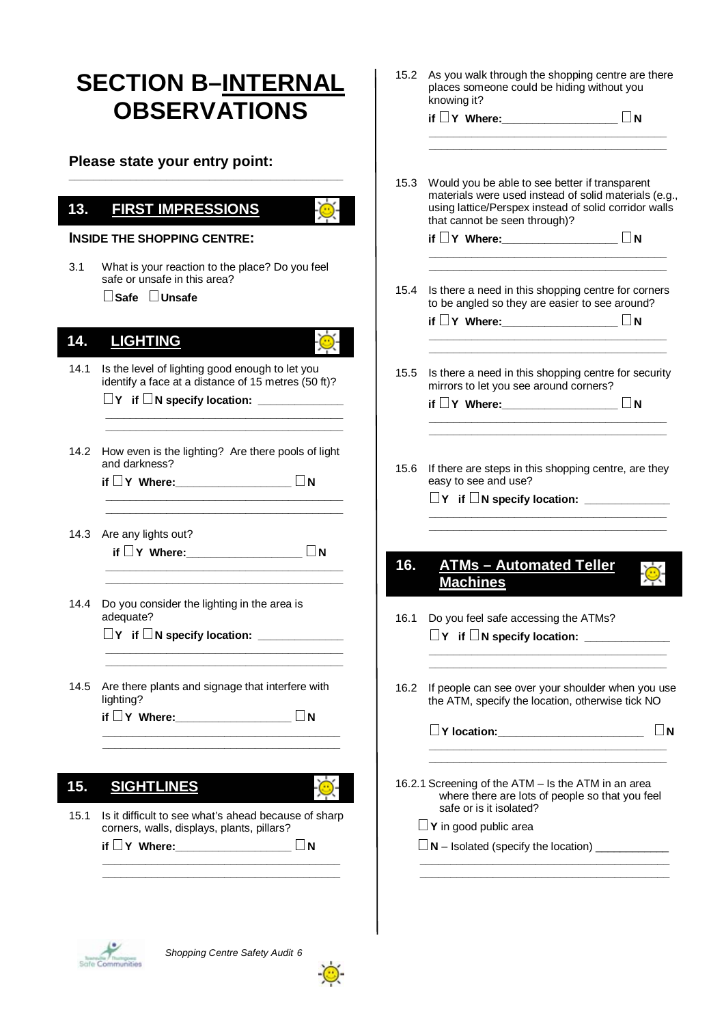|      | <b>SECTION B-INTERNAL</b><br><b>OBSERVATIONS</b>                                                       |      | 15.2 As you walk through the shopping centre are there<br>places someone could be hiding without you<br>knowing it?      |  |
|------|--------------------------------------------------------------------------------------------------------|------|--------------------------------------------------------------------------------------------------------------------------|--|
|      |                                                                                                        |      | if □Y Where: ________________ □N                                                                                         |  |
|      | Please state your entry point:                                                                         |      |                                                                                                                          |  |
|      |                                                                                                        | 15.3 | Would you be able to see better if transparent                                                                           |  |
| 13.  | <b>FIRST IMPRESSIONS</b>                                                                               |      | materials were used instead of solid materials (e.g.,<br>using lattice/Perspex instead of solid corridor walls           |  |
|      | <b>INSIDE THE SHOPPING CENTRE:</b>                                                                     |      | that cannot be seen through)?<br>if $\Box$ Y Where: $\Box$ N                                                             |  |
| 3.1  | What is your reaction to the place? Do you feel                                                        |      |                                                                                                                          |  |
|      | safe or unsafe in this area?<br>$\Box$ Safe $\Box$ Unsafe                                              | 15.4 | Is there a need in this shopping centre for corners<br>to be angled so they are easier to see around?                    |  |
|      |                                                                                                        |      | if $\Box$ Y Where: $\Box$ $\Box$ N                                                                                       |  |
| 14.  | <b>LIGHTING</b>                                                                                        |      |                                                                                                                          |  |
| 14.1 | Is the level of lighting good enough to let you<br>identify a face at a distance of 15 metres (50 ft)? | 15.5 | Is there a need in this shopping centre for security<br>mirrors to let you see around corners?                           |  |
|      | $\Box$ Y if $\Box$ N specify location:                                                                 |      | if $\Box$ Y Where: $\Box$ $\Box$ N                                                                                       |  |
|      |                                                                                                        |      |                                                                                                                          |  |
| 14.2 | How even is the lighting? Are there pools of light<br>and darkness?                                    |      |                                                                                                                          |  |
|      | if $\Box$ Y Where: $\Box$ N                                                                            |      | 15.6 If there are steps in this shopping centre, are they<br>easy to see and use?                                        |  |
|      |                                                                                                        |      |                                                                                                                          |  |
|      | 14.3 Are any lights out?                                                                               |      |                                                                                                                          |  |
|      | if $\Box$ Y Where: $\Box$ N                                                                            |      |                                                                                                                          |  |
|      |                                                                                                        | 16.  | <b>ATMs - Automated Teller</b><br><b>Machines</b>                                                                        |  |
| 14.4 | Do you consider the lighting in the area is                                                            |      |                                                                                                                          |  |
|      | adequate?                                                                                              | 16.1 | Do you feel safe accessing the ATMs?<br>$\Box$ Y if $\Box$ N specify location: $\Box$                                    |  |
|      |                                                                                                        |      | <u> 2000 - Jan James James James James James James James James James James James James James James James James Ja</u>    |  |
| 14.5 | Are there plants and signage that interfere with                                                       | 16.2 | If people can see over your shoulder when you use                                                                        |  |
|      | lighting?                                                                                              |      | the ATM, specify the location, otherwise tick NO                                                                         |  |
|      | if □Y Where: _________________ □N                                                                      |      | $\Box$ Y location: $\Box$ N                                                                                              |  |
|      |                                                                                                        |      |                                                                                                                          |  |
| 15.  | <b>SIGHTLINES</b>                                                                                      |      | 16.2.1 Screening of the ATM - Is the ATM in an area<br>where there are lots of people so that you feel                   |  |
| 15.1 | Is it difficult to see what's ahead because of sharp                                                   |      | safe or is it isolated?                                                                                                  |  |
|      | corners, walls, displays, plants, pillars?<br>if $\Box$ Y Where: $\Box$ $\Box$ N                       |      | $\Box$ <b>Y</b> in good public area<br>$\Box$ N – Isolated (specify the location) $\_\_\_\_\_\_\_\_\_\_\_\_\_\_\_\_\_\_$ |  |
|      |                                                                                                        |      | the control of the control of the control of the control of the control of                                               |  |
|      |                                                                                                        |      |                                                                                                                          |  |
|      |                                                                                                        |      |                                                                                                                          |  |

 $\begin{picture}(20,10) \put(0,0){\line(1,0){10}} \put(0,0){\line(1,0){10}} \put(0,0){\line(1,0){10}} \put(0,0){\line(1,0){10}} \put(0,0){\line(1,0){10}} \put(0,0){\line(1,0){10}} \put(0,0){\line(1,0){10}} \put(0,0){\line(1,0){10}} \put(0,0){\line(1,0){10}} \put(0,0){\line(1,0){10}} \put(0,0){\line(1,0){10}} \put(0,0){\line(1,0){10}} \put(0,$ 

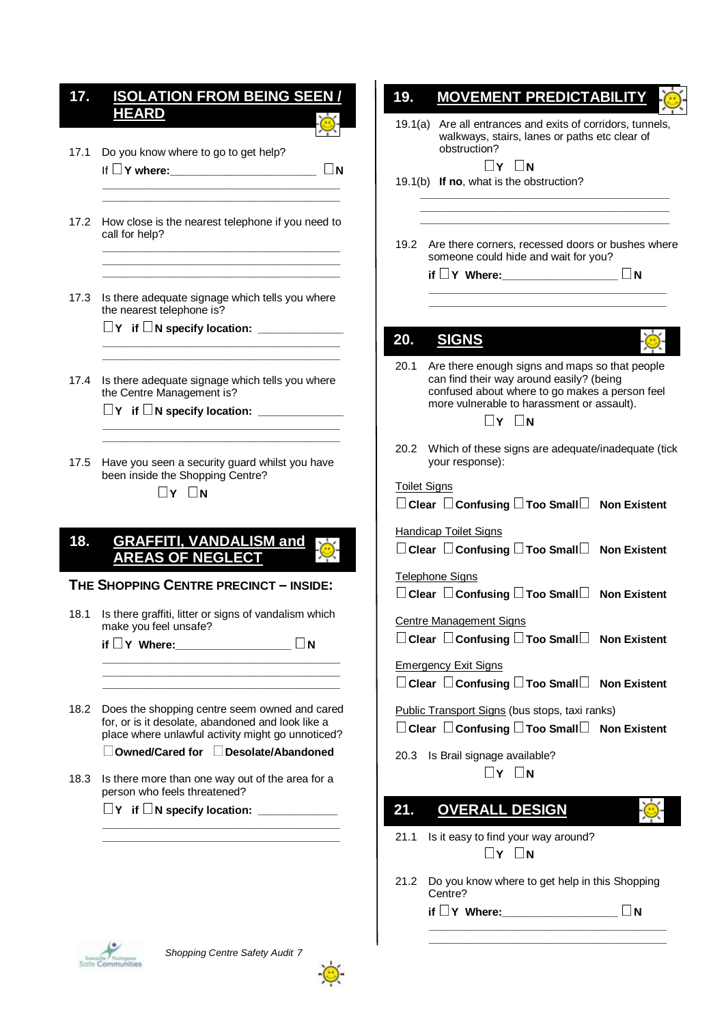## **15. ISOLATION FROM BEING SEEN / 17. ISOLATION FROM BEING SEEN / HEARD HEARD**

- 17.1 Do you know where to go to get help? If **□Y where:\_\_\_\_\_\_\_\_\_\_\_\_\_\_\_\_\_\_\_\_\_\_\_\_\_\_ □N**
- 17.2 How close is the nearest telephone if you need to call for help?  **\_\_\_\_\_\_\_\_\_\_\_\_\_\_\_\_\_\_\_\_\_\_\_\_\_\_\_\_\_\_\_\_\_\_\_\_\_\_\_**

 **\_\_\_\_\_\_\_\_\_\_\_\_\_\_\_\_\_\_\_\_\_\_\_\_\_\_\_\_\_\_\_\_\_\_\_\_\_\_\_ \_\_\_\_\_\_\_\_\_\_\_\_\_\_\_\_\_\_\_\_\_\_\_\_\_\_\_\_\_\_\_\_\_\_\_\_\_\_\_** 

 **\_\_\_\_\_\_\_\_\_\_\_\_\_\_\_\_\_\_\_\_\_\_\_\_\_\_\_\_\_\_\_\_\_\_\_\_\_\_\_** 

17.3 Is there adequate signage which tells you where the nearest telephone is?

 **\_\_\_\_\_\_\_\_\_\_\_\_\_\_\_\_\_\_\_\_\_\_\_\_\_\_\_\_\_\_\_\_\_\_\_\_\_\_\_ \_\_\_\_\_\_\_\_\_\_\_\_\_\_\_\_\_\_\_\_\_\_\_\_\_\_\_\_\_\_\_\_\_\_\_\_\_\_\_** 

- **Y if N specify location: \_\_\_\_\_\_\_\_\_\_\_\_\_\_**
- 17.4 Is there adequate signage which tells you where the Centre Management is?

 **\_\_\_\_\_\_\_\_\_\_\_\_\_\_\_\_\_\_\_\_\_\_\_\_\_\_\_\_\_\_\_\_\_\_\_\_\_\_\_ \_\_\_\_\_\_\_\_\_\_\_\_\_\_\_\_\_\_\_\_\_\_\_\_\_\_\_\_\_\_\_\_\_\_\_\_\_\_\_** 

**Y if N specify location: \_\_\_\_\_\_\_\_\_\_\_\_\_\_** 

17.5 Have you seen a security guard whilst you have been inside the Shopping Centre?

 $\Box$ **Y**  $\Box$ **N** 

## **16. GRAFFITI, VANDALISM and 18. GRAFFITI, VANDALISM and AREAS OF NEGLECT AREAS OF NEGLECT**

#### **THE SHOPPING CENTRE PRECINCT – INSIDE:**

18.1 Is there graffiti, litter or signs of vandalism which make you feel unsafe?

**if Y Where:\_\_\_\_\_\_\_\_\_\_\_\_\_\_\_\_\_\_\_ <sup>N</sup> \_\_\_\_\_\_\_\_\_\_\_\_\_\_\_\_\_\_\_\_\_\_\_\_\_\_\_\_\_\_\_\_\_\_\_\_\_\_\_** 

 **\_\_\_\_\_\_\_\_\_\_\_\_\_\_\_\_\_\_\_\_\_\_\_\_\_\_\_\_\_\_\_\_\_\_\_\_\_\_\_ \_\_\_\_\_\_\_\_\_\_\_\_\_\_\_\_\_\_\_\_\_\_\_\_\_\_\_\_\_\_\_\_\_\_\_\_\_\_\_** 

18.2 Does the shopping centre seem owned and cared for, or is it desolate, abandoned and look like a place where unlawful activity might go unnoticed?

**Owned/Cared for Desolate/Abandoned** 

18.3 Is there more than one way out of the area for a person who feels threatened?

 **\_\_\_\_\_\_\_\_\_\_\_\_\_\_\_\_\_\_\_\_\_\_\_\_\_\_\_\_\_\_\_\_\_\_\_\_\_\_\_ \_\_\_\_\_\_\_\_\_\_\_\_\_\_\_\_\_\_\_\_\_\_\_\_\_\_\_\_\_\_\_\_\_\_\_\_\_\_\_** 

**Y if N specify location: \_\_\_\_\_\_\_\_\_\_\_\_\_** 

| 19.                 | <b>MOVEMENT PREDICTABILIT</b>                                                                                                                                                                                   |
|---------------------|-----------------------------------------------------------------------------------------------------------------------------------------------------------------------------------------------------------------|
|                     | 19.1(a) Are all entrances and exits of corridors, tunnels,<br>walkways, stairs, lanes or paths etc clear of<br>obstruction?<br>$\Box$ Y $\Box$ N                                                                |
|                     | 19.1(b) If no, what is the obstruction?                                                                                                                                                                         |
|                     |                                                                                                                                                                                                                 |
|                     | 19.2 Are there corners, recessed doors or bushes where<br>someone could hide and wait for you?<br>if $\Box$ Y Where:<br>⊥N                                                                                      |
|                     |                                                                                                                                                                                                                 |
| 20.                 | <b>SIGNS</b>                                                                                                                                                                                                    |
| 20.1                | Are there enough signs and maps so that people<br>can find their way around easily? (being<br>confused about where to go makes a person feel<br>more vulnerable to harassment or assault).<br>$\Box$ y $\Box$ n |
|                     | 20.2 Which of these signs are adequate/inadequate (tick<br>your response):                                                                                                                                      |
| <b>Toilet Signs</b> | $\Box$ Clear $\Box$ Confusing $\Box$ Too Small $\Box$ Non Existent                                                                                                                                              |
|                     | <b>Handicap Toilet Signs</b><br>$\Box$ Clear $\Box$ Confusing $\Box$ Too Small $\Box$ Non Existent                                                                                                              |
|                     | <b>Telephone Signs</b><br>$\Box$ Clear $\Box$ Confusing $\Box$ Too Small $\Box$ Non Existent                                                                                                                    |
|                     | <b>Centre Management Signs</b><br>$\square$ Clear $\;\square$ Confusing $\square$ Too Small $\square$ Non Existent                                                                                              |
|                     | <b>Emergency Exit Signs</b><br>$\Box$ Clear $\Box$ Confusing $\Box$ Too Small $\Box$ Non Existent                                                                                                               |
|                     | Public Transport Signs (bus stops, taxi ranks)<br>$\Box$ Clear $\Box$ Confusing $\Box$ Too Small $\Box$ Non Existent                                                                                            |
|                     | 20.3 Is Brail signage available?<br>$\Box$ y $\Box$ n                                                                                                                                                           |
| 21.                 | <b>OVERALL DESIGN</b>                                                                                                                                                                                           |
| 21.1                | Is it easy to find your way around?<br>$\Box$ Y $\Box$ N                                                                                                                                                        |
| 21.2                | Do you know where to get help in this Shopping<br>Centre?                                                                                                                                                       |
|                     | ΙN                                                                                                                                                                                                              |
|                     |                                                                                                                                                                                                                 |

 $\sim$ 



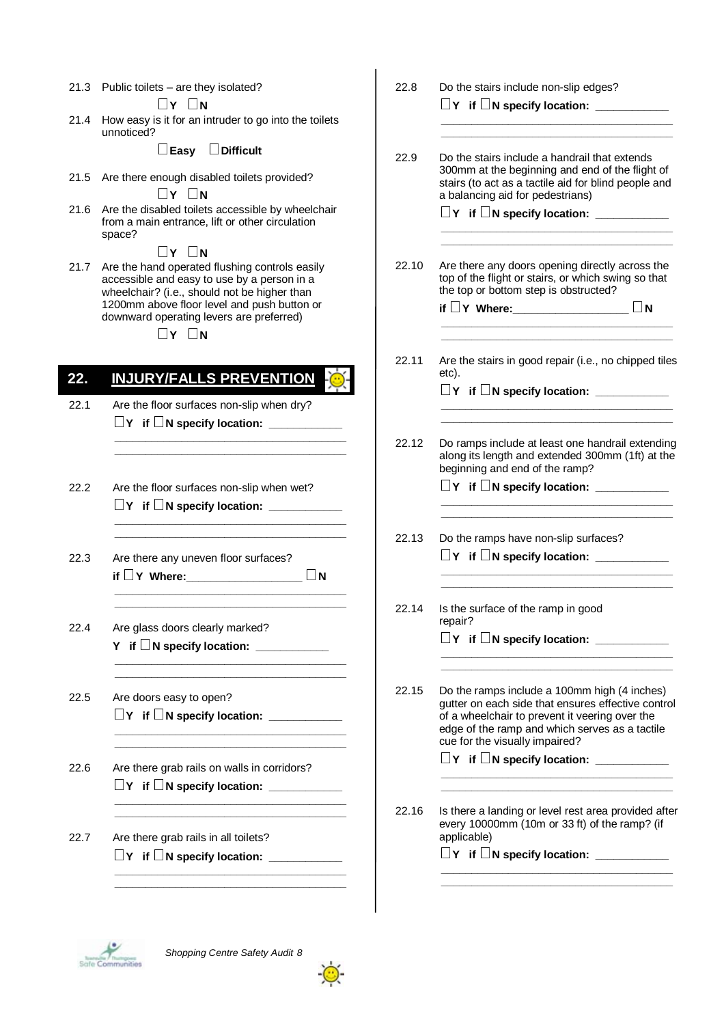21.3 Public toilets – are they isolated?

 $\Box Y \Box N$ <br>21.4 How easy is it for an intruder to go into the toilets unnoticed?

#### **Easy Difficult**

21.5 Are there enough disabled toilets provided?

**A**<br>
21.6 Are the disabled toilets accessible by wheelchair from a main entrance, lift or other circulation space?

 **<sup>Y</sup><sup>N</sup>** 21.7 Are the hand operated flushing controls easily accessible and easy to use by a person in a wheelchair? (i.e., should not be higher than 1200mm above floor level and push button or downward operating levers are preferred)

 $\Box$ **Y**  $\Box$ **N** 

## **20. INJURY/FALLS PREVENTION 22. INJURY/FALLS PREVENTION**

 **\_\_\_\_\_\_\_\_\_\_\_\_\_\_\_\_\_\_\_\_\_\_\_\_\_\_\_\_\_\_\_\_\_\_\_\_\_\_ \_\_\_\_\_\_\_\_\_\_\_\_\_\_\_\_\_\_\_\_\_\_\_\_\_\_\_\_\_\_\_\_\_\_\_\_\_\_** 

 **\_\_\_\_\_\_\_\_\_\_\_\_\_\_\_\_\_\_\_\_\_\_\_\_\_\_\_\_\_\_\_\_\_\_\_\_\_\_ \_\_\_\_\_\_\_\_\_\_\_\_\_\_\_\_\_\_\_\_\_\_\_\_\_\_\_\_\_\_\_\_\_\_\_\_\_\_** 

 **\_\_\_\_\_\_\_\_\_\_\_\_\_\_\_\_\_\_\_\_\_\_\_\_\_\_\_\_\_\_\_\_\_\_\_\_\_\_ \_\_\_\_\_\_\_\_\_\_\_\_\_\_\_\_\_\_\_\_\_\_\_\_\_\_\_\_\_\_\_\_\_\_\_\_\_\_** 

 **\_\_\_\_\_\_\_\_\_\_\_\_\_\_\_\_\_\_\_\_\_\_\_\_\_\_\_\_\_\_\_\_\_\_\_\_\_\_ \_\_\_\_\_\_\_\_\_\_\_\_\_\_\_\_\_\_\_\_\_\_\_\_\_\_\_\_\_\_\_\_\_\_\_\_\_\_** 

 **\_\_\_\_\_\_\_\_\_\_\_\_\_\_\_\_\_\_\_\_\_\_\_\_\_\_\_\_\_\_\_\_\_\_\_\_\_\_** 

 **\_\_\_\_\_\_\_\_\_\_\_\_\_\_\_\_\_\_\_\_\_\_\_\_\_\_\_\_\_\_\_\_\_\_\_\_\_\_ \_\_\_\_\_\_\_\_\_\_\_\_\_\_\_\_\_\_\_\_\_\_\_\_\_\_\_\_\_\_\_\_\_\_\_\_\_\_** 

 **\_\_\_\_\_\_\_\_\_\_\_\_\_\_\_\_\_\_\_\_\_\_\_\_\_\_\_\_\_\_\_\_\_\_\_\_\_\_ \_\_\_\_\_\_\_\_\_\_\_\_\_\_\_\_\_\_\_\_\_\_\_\_\_\_\_\_\_\_\_\_\_\_\_\_\_\_** 

- 22.1 Are the floor surfaces non-slip when dry?  $\Box$  Y if  $\Box$  N specify location:
- 22.2 Are the floor surfaces non-slip when wet? **Y if N specify location: \_\_\_\_\_\_\_\_\_\_\_\_**
- 22.3 Are there any uneven floor surfaces?  **if Y Where:\_\_\_\_\_\_\_\_\_\_\_\_\_\_\_\_\_\_\_ <sup>N</sup>**
- 22.4 Are glass doors clearly marked? **Y** if  $\Box$  **N** specify location:
- 22.5 Are doors easy to open? **Y if N specify location: \_\_\_\_\_\_\_\_\_\_\_\_ \_\_\_\_\_\_\_\_\_\_\_\_\_\_\_\_\_\_\_\_\_\_\_\_\_\_\_\_\_\_\_\_\_\_\_\_\_\_**
- 22.6 Are there grab rails on walls in corridors? **Y if N specify location: \_\_\_\_\_\_\_\_\_\_\_\_**
- 22.7 Are there grab rails in all toilets?  $\Box$  Y if  $\Box$  N specify location: \_\_

| 22.8  | Do the stairs include non-slip edges?                                                                                                                                                                                                    |
|-------|------------------------------------------------------------------------------------------------------------------------------------------------------------------------------------------------------------------------------------------|
|       |                                                                                                                                                                                                                                          |
| 22.9  | Do the stairs include a handrail that extends<br>300mm at the beginning and end of the flight of<br>stairs (to act as a tactile aid for blind people and<br>a balancing aid for pedestrians)<br>$\Box$ Y if $\Box$ N specify location:   |
|       |                                                                                                                                                                                                                                          |
| 22.10 | Are there any doors opening directly across the<br>top of the flight or stairs, or which swing so that<br>the top or bottom step is obstructed?                                                                                          |
|       | if $\Box$ Y Where:<br>    N                                                                                                                                                                                                              |
|       |                                                                                                                                                                                                                                          |
| 22.11 | Are the stairs in good repair (i.e., no chipped tiles<br>etc).                                                                                                                                                                           |
|       |                                                                                                                                                                                                                                          |
|       |                                                                                                                                                                                                                                          |
| 22.12 | Do ramps include at least one handrail extending<br>along its length and extended 300mm (1ft) at the<br>beginning and end of the ramp?                                                                                                   |
|       |                                                                                                                                                                                                                                          |
| 22.13 | Do the ramps have non-slip surfaces?                                                                                                                                                                                                     |
|       | $\Box$ Y if $\Box$ N specify location:                                                                                                                                                                                                   |
|       |                                                                                                                                                                                                                                          |
| 22.14 | Is the surface of the ramp in good<br>repair?                                                                                                                                                                                            |
|       | $\Box$ Y if $\Box$ N specify location:                                                                                                                                                                                                   |
|       |                                                                                                                                                                                                                                          |
| 22.15 | Do the ramps include a 100mm high (4 inches)<br>gutter on each side that ensures effective control<br>of a wheelchair to prevent it veering over the<br>edge of the ramp and which serves as a tactile<br>cue for the visually impaired? |
|       | $\Box$ Y if $\Box$ N specify location: __                                                                                                                                                                                                |
|       |                                                                                                                                                                                                                                          |
| 22.16 | Is there a landing or level rest area provided after<br>every 10000mm (10m or 33 ft) of the ramp? (if<br>applicable)<br>$\Box$ Y if $\Box$ N specify location:                                                                           |
|       |                                                                                                                                                                                                                                          |

 **\_\_\_\_\_\_\_\_\_\_\_\_\_\_\_\_\_\_\_\_\_\_\_\_\_\_\_\_\_\_\_\_\_\_\_\_\_\_**